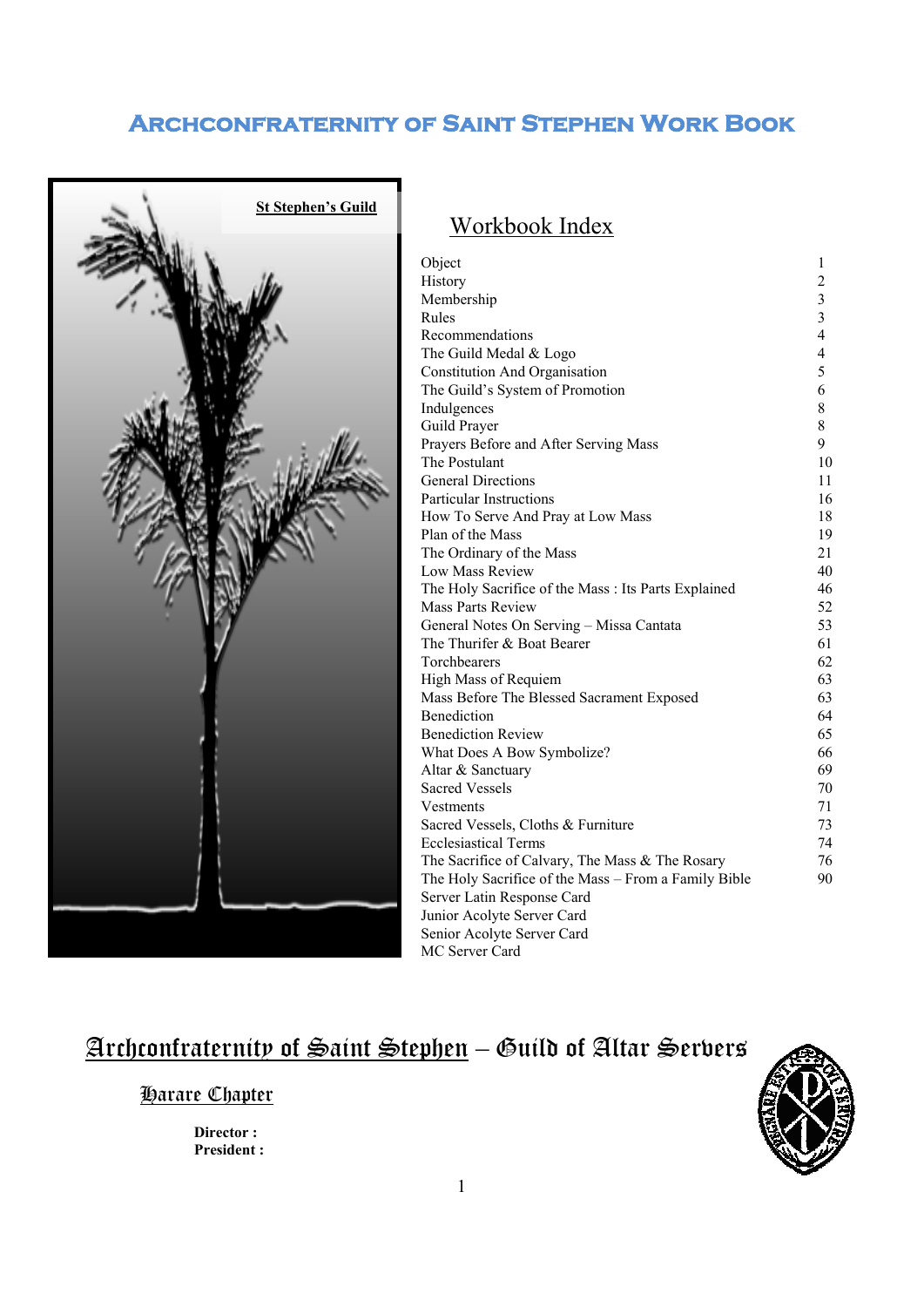

# Workbook Index

| Object                                               | 1              |
|------------------------------------------------------|----------------|
| History                                              | 2              |
| Membership                                           | 3              |
| Rules                                                | $\overline{3}$ |
| Recommendations                                      | 4              |
| The Guild Medal & Logo                               | 4              |
| <b>Constitution And Organisation</b>                 | 5              |
| The Guild's System of Promotion                      | 6              |
| Indulgences                                          | 8              |
| Guild Prayer                                         | 8              |
| Prayers Before and After Serving Mass                | 9              |
| The Postulant                                        | 10             |
| <b>General Directions</b>                            | 11             |
| <b>Particular Instructions</b>                       | 16             |
| How To Serve And Pray at Low Mass                    | 18             |
| Plan of the Mass                                     | 19             |
| The Ordinary of the Mass                             | 21             |
| Low Mass Review                                      | 40             |
| The Holy Sacrifice of the Mass : Its Parts Explained | 46             |
| <b>Mass Parts Review</b>                             | 52             |
| General Notes On Serving - Missa Cantata             | 53             |
| The Thurifer & Boat Bearer                           | 61             |
| Torchbearers                                         | 62             |
| High Mass of Requiem                                 | 63             |
| Mass Before The Blessed Sacrament Exposed            | 63             |
| <b>Benediction</b>                                   | 64             |
| <b>Benediction Review</b>                            | 65             |
| What Does A Bow Symbolize?                           | 66             |
| Altar & Sanctuary                                    | 69             |
| <b>Sacred Vessels</b>                                | 70             |
| Vestments                                            | 71             |
| Sacred Vessels, Cloths & Furniture                   | 73             |
| <b>Ecclesiastical Terms</b>                          | 74             |
| The Sacrifice of Calvary, The Mass & The Rosary      | 76             |
| The Holy Sacrifice of the Mass - From a Family Bible | 90             |
| Server Latin Response Card                           |                |
| Junior Acolyte Server Card                           |                |
| Senior Acolyte Server Card                           |                |
| MC Server Card                                       |                |

# <u>Archconfraternity of Saint Stephen</u> – Guild of Altar Servers

### Harare Chapter

 **Director : President :** 

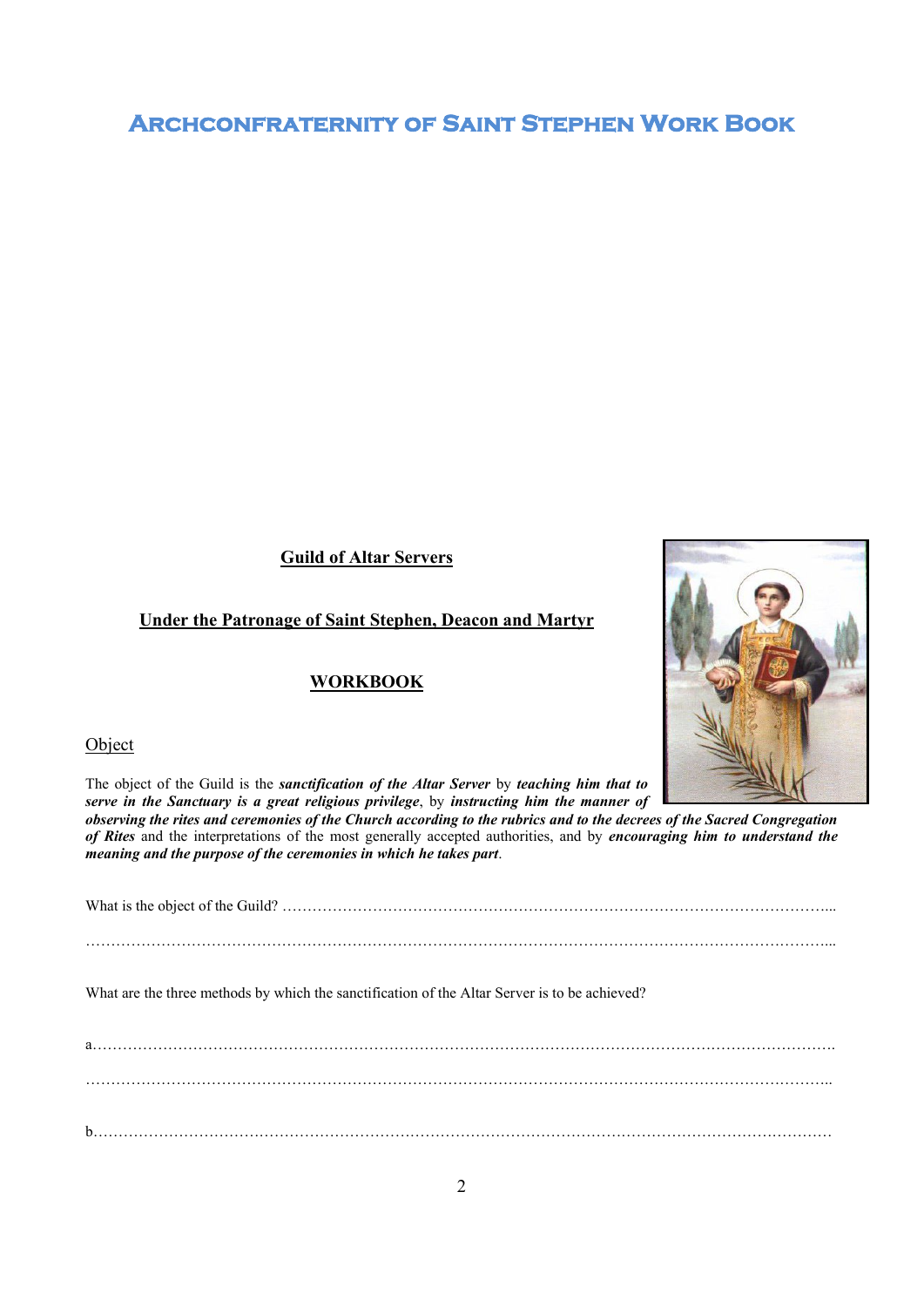**Guild of Altar Servers** 

### **Under the Patronage of Saint Stephen, Deacon and Martyr**

### **WORKBOOK**

### **Object**

The object of the Guild is the *sanctification of the Altar Server* by *teaching him that to serve in the Sanctuary is a great religious privilege*, by *instructing him the manner of* 

*observing the rites and ceremonies of the Church according to the rubrics and to the decrees of the Sacred Congregation of Rites* and the interpretations of the most generally accepted authorities, and by *encouraging him to understand the meaning and the purpose of the ceremonies in which he takes part*.

What is the object of the Guild? ………………………………………………………………………………………………...

…………………………………………………………………………………………………………………………………...

What are the three methods by which the sanctification of the Altar Server is to be achieved?

a…………………………………………………………………………………………………………………………………. ………………………………………………………………………………………………………………………………….. b…………………………………………………………………………………………………………………………………

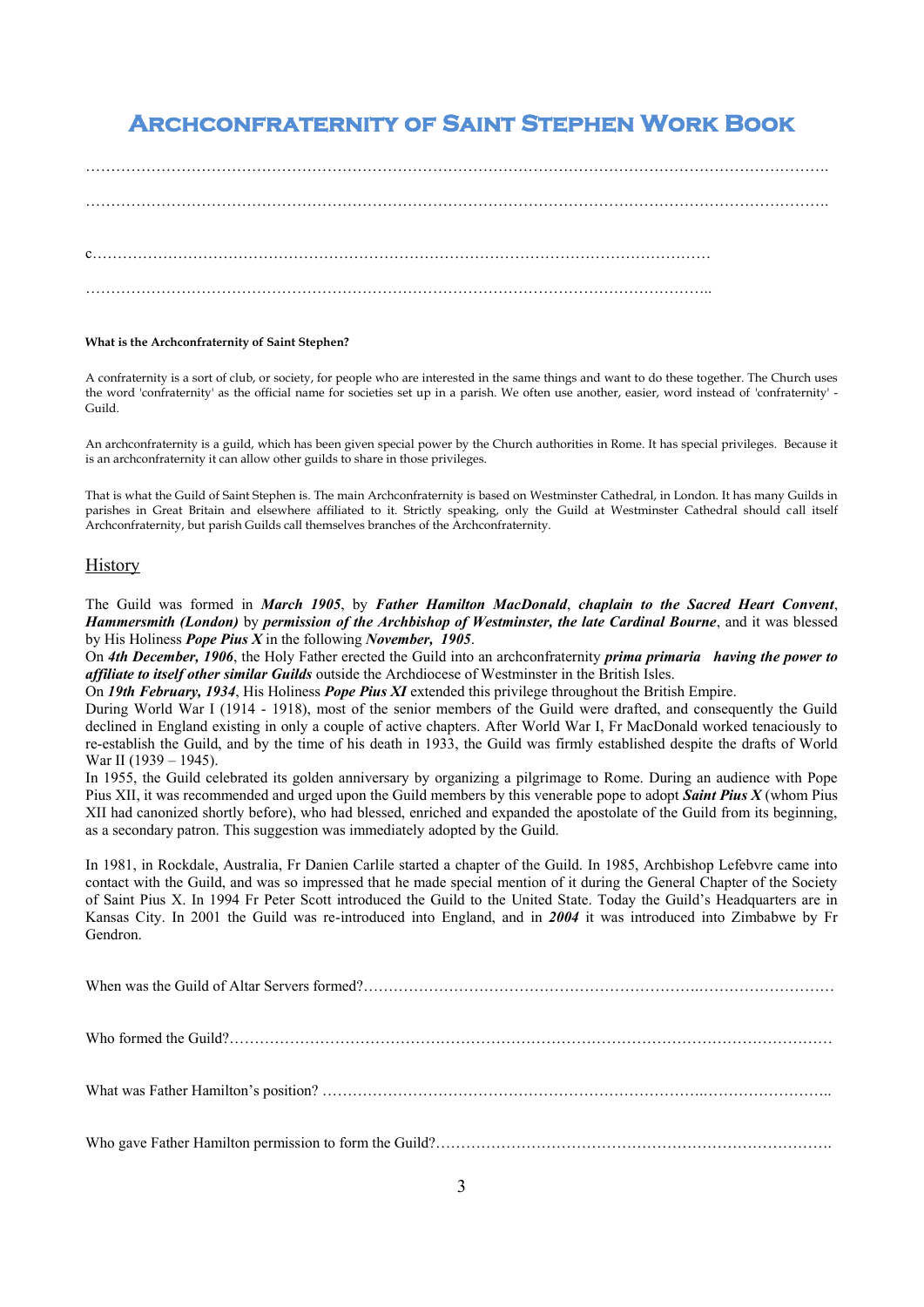…………………………………………………………………………………………………………………………………. c…………………………………………………………………………………………………………… ……………………………………………………………………………………………………………..

#### **What is the Archconfraternity of Saint Stephen?**

A confraternity is a sort of club, or society, for people who are interested in the same things and want to do these together. The Church uses the word 'confraternity' as the official name for societies set up in a parish. We often use another, easier, word instead of 'confraternity' - Guild.

An archconfraternity is a guild, which has been given special power by the Church authorities in Rome. It has special privileges. Because it is an archconfraternity it can allow other guilds to share in those privileges.

That is what the Guild of Saint Stephen is. The main Archconfraternity is based on Westminster Cathedral, in London. It has many Guilds in parishes in Great Britain and elsewhere affiliated to it. Strictly speaking, only the Guild at Westminster Cathedral should call itself Archconfraternity, but parish Guilds call themselves branches of the Archconfraternity.

#### **History**

The Guild was formed in *March 1905*, by *Father Hamilton MacDonald*, *chaplain to the Sacred Heart Convent*, *Hammersmith (London)* by *permission of the Archbishop of Westminster, the late Cardinal Bourne*, and it was blessed by His Holiness *Pope Pius X* in the following *November, 1905*.

On *4th December, 1906*, the Holy Father erected the Guild into an archconfraternity *prima primaria having the power to affiliate to itself other similar Guilds* outside the Archdiocese of Westminster in the British Isles.

On *19th February, 1934*, His Holiness *Pope Pius XI* extended this privilege throughout the British Empire.

During World War I (1914 - 1918), most of the senior members of the Guild were drafted, and consequently the Guild declined in England existing in only a couple of active chapters. After World War I, Fr MacDonald worked tenaciously to re-establish the Guild, and by the time of his death in 1933, the Guild was firmly established despite the drafts of World War II (1939 – 1945).

In 1955, the Guild celebrated its golden anniversary by organizing a pilgrimage to Rome. During an audience with Pope Pius XII, it was recommended and urged upon the Guild members by this venerable pope to adopt *Saint Pius X* (whom Pius XII had canonized shortly before), who had blessed, enriched and expanded the apostolate of the Guild from its beginning, as a secondary patron. This suggestion was immediately adopted by the Guild.

In 1981, in Rockdale, Australia, Fr Danien Carlile started a chapter of the Guild. In 1985, Archbishop Lefebvre came into contact with the Guild, and was so impressed that he made special mention of it during the General Chapter of the Society of Saint Pius X. In 1994 Fr Peter Scott introduced the Guild to the United State. Today the Guild's Headquarters are in Kansas City. In 2001 the Guild was re-introduced into England, and in *2004* it was introduced into Zimbabwe by Fr Gendron.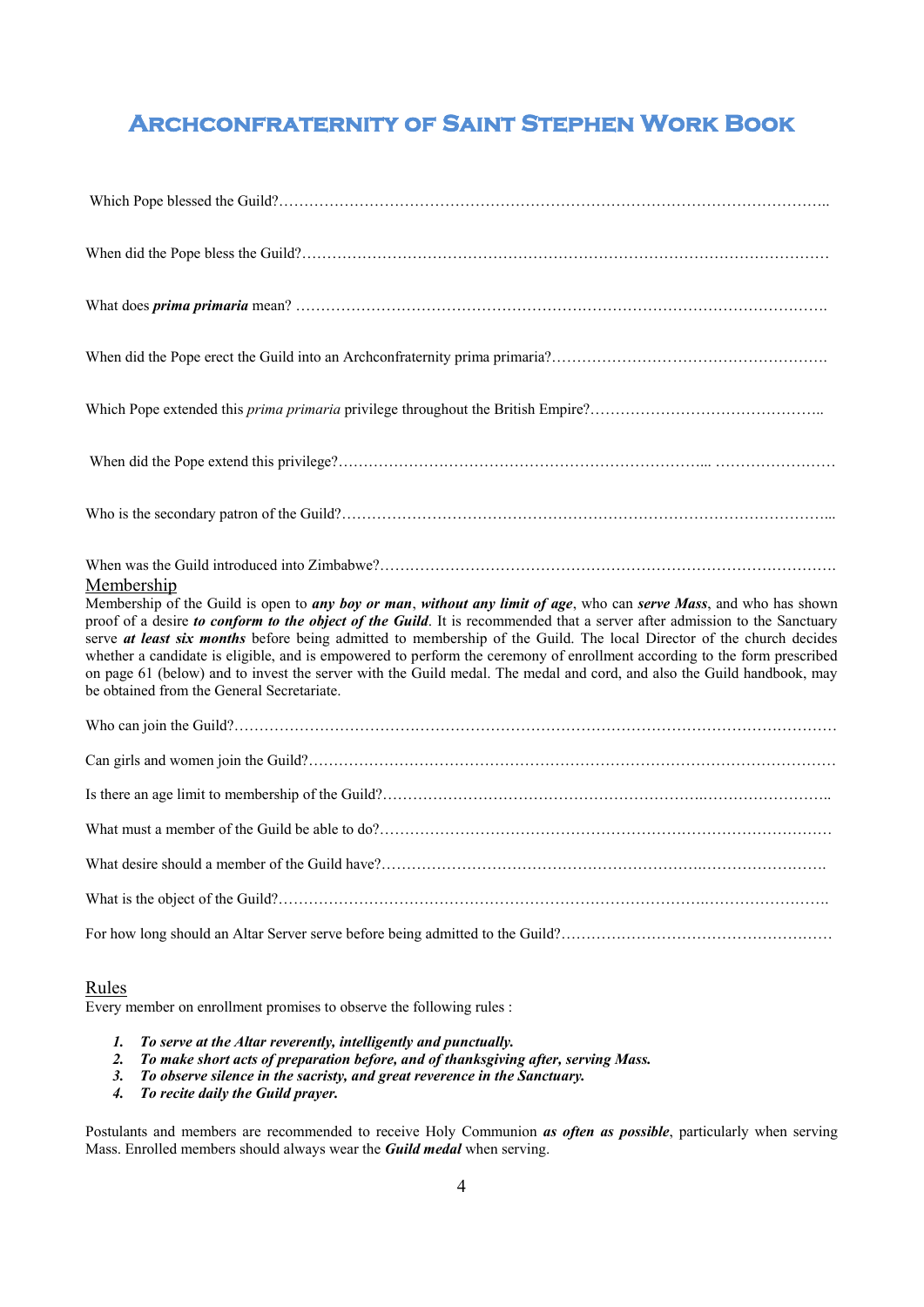| Membership<br>Membership of the Guild is open to any boy or man, without any limit of age, who can serve Mass, and who has shown<br>proof of a desire to conform to the object of the Guild. It is recommended that a server after admission to the Sanctuary<br>serve at least six months before being admitted to membership of the Guild. The local Director of the church decides<br>whether a candidate is eligible, and is empowered to perform the ceremony of enrollment according to the form prescribed<br>on page 61 (below) and to invest the server with the Guild medal. The medal and cord, and also the Guild handbook, may<br>be obtained from the General Secretariate. |
|-------------------------------------------------------------------------------------------------------------------------------------------------------------------------------------------------------------------------------------------------------------------------------------------------------------------------------------------------------------------------------------------------------------------------------------------------------------------------------------------------------------------------------------------------------------------------------------------------------------------------------------------------------------------------------------------|
|                                                                                                                                                                                                                                                                                                                                                                                                                                                                                                                                                                                                                                                                                           |
|                                                                                                                                                                                                                                                                                                                                                                                                                                                                                                                                                                                                                                                                                           |
|                                                                                                                                                                                                                                                                                                                                                                                                                                                                                                                                                                                                                                                                                           |
|                                                                                                                                                                                                                                                                                                                                                                                                                                                                                                                                                                                                                                                                                           |
|                                                                                                                                                                                                                                                                                                                                                                                                                                                                                                                                                                                                                                                                                           |
|                                                                                                                                                                                                                                                                                                                                                                                                                                                                                                                                                                                                                                                                                           |
|                                                                                                                                                                                                                                                                                                                                                                                                                                                                                                                                                                                                                                                                                           |

### Rules

Every member on enrollment promises to observe the following rules :

- *1. To serve at the Altar reverently, intelligently and punctually.*
- *2. To make short acts of preparation before, and of thanksgiving after, serving Mass.*
- *3. To observe silence in the sacristy, and great reverence in the Sanctuary.*
- *4. To recite daily the Guild prayer.*

Postulants and members are recommended to receive Holy Communion *as often as possible*, particularly when serving Mass. Enrolled members should always wear the *Guild medal* when serving.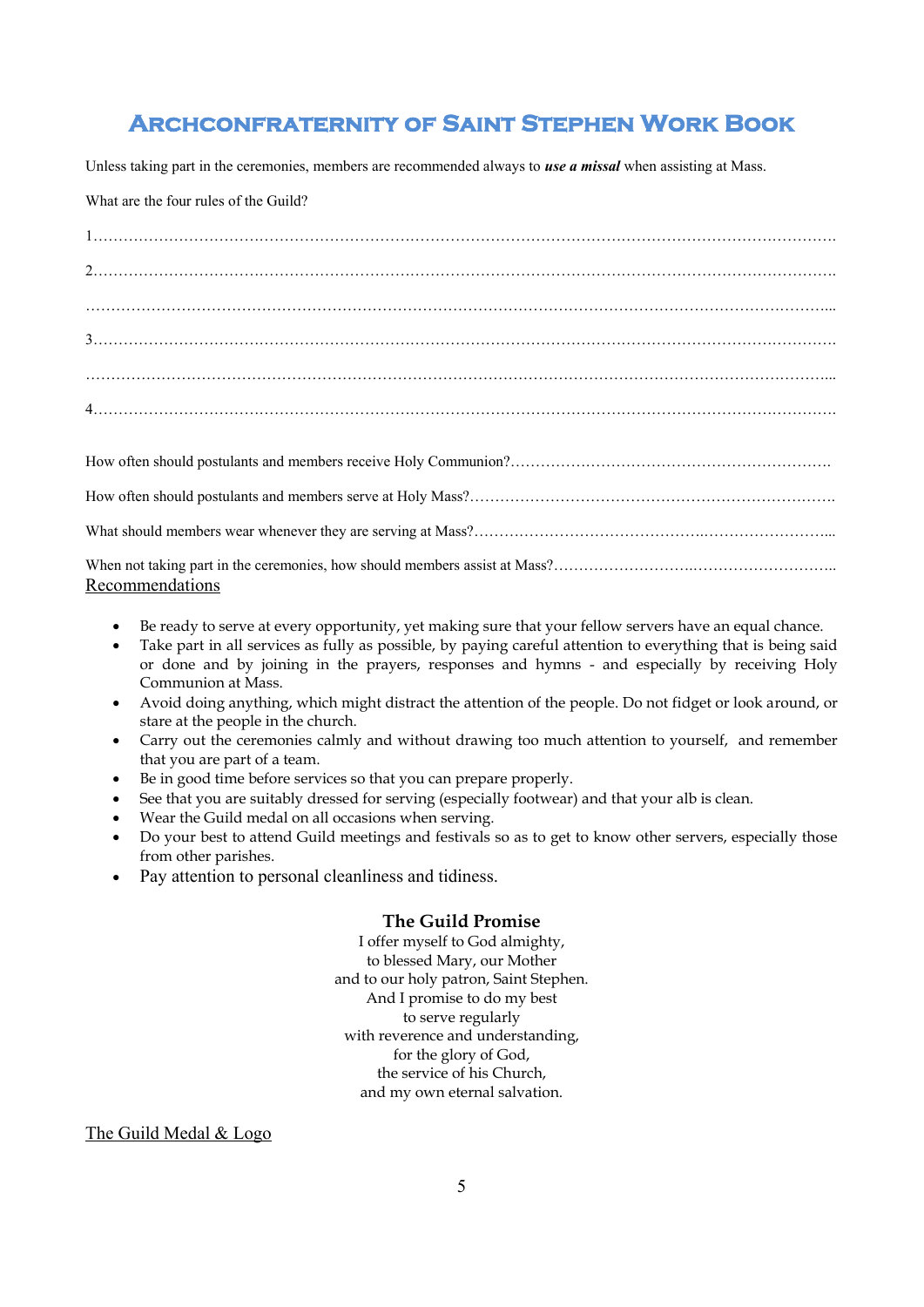Unless taking part in the ceremonies, members are recommended always to *use a missal* when assisting at Mass.

#### What are the four rules of the Guild?

| Recommendations |
|-----------------|

- Be ready to serve at every opportunity, yet making sure that your fellow servers have an equal chance.
- Take part in all services as fully as possible, by paying careful attention to everything that is being said or done and by joining in the prayers, responses and hymns - and especially by receiving Holy Communion at Mass.
- Avoid doing anything, which might distract the attention of the people. Do not fidget or look around, or stare at the people in the church.
- Carry out the ceremonies calmly and without drawing too much attention to yourself, and remember that you are part of a team.
- Be in good time before services so that you can prepare properly.
- See that you are suitably dressed for serving (especially footwear) and that your alb is clean.
- Wear the Guild medal on all occasions when serving.
- Do your best to attend Guild meetings and festivals so as to get to know other servers, especially those from other parishes.
- Pay attention to personal cleanliness and tidiness.

### **The Guild Promise**

I offer myself to God almighty, to blessed Mary, our Mother and to our holy patron, Saint Stephen. And I promise to do my best to serve regularly with reverence and understanding, for the glory of God, the service of his Church, and my own eternal salvation.

The Guild Medal & Logo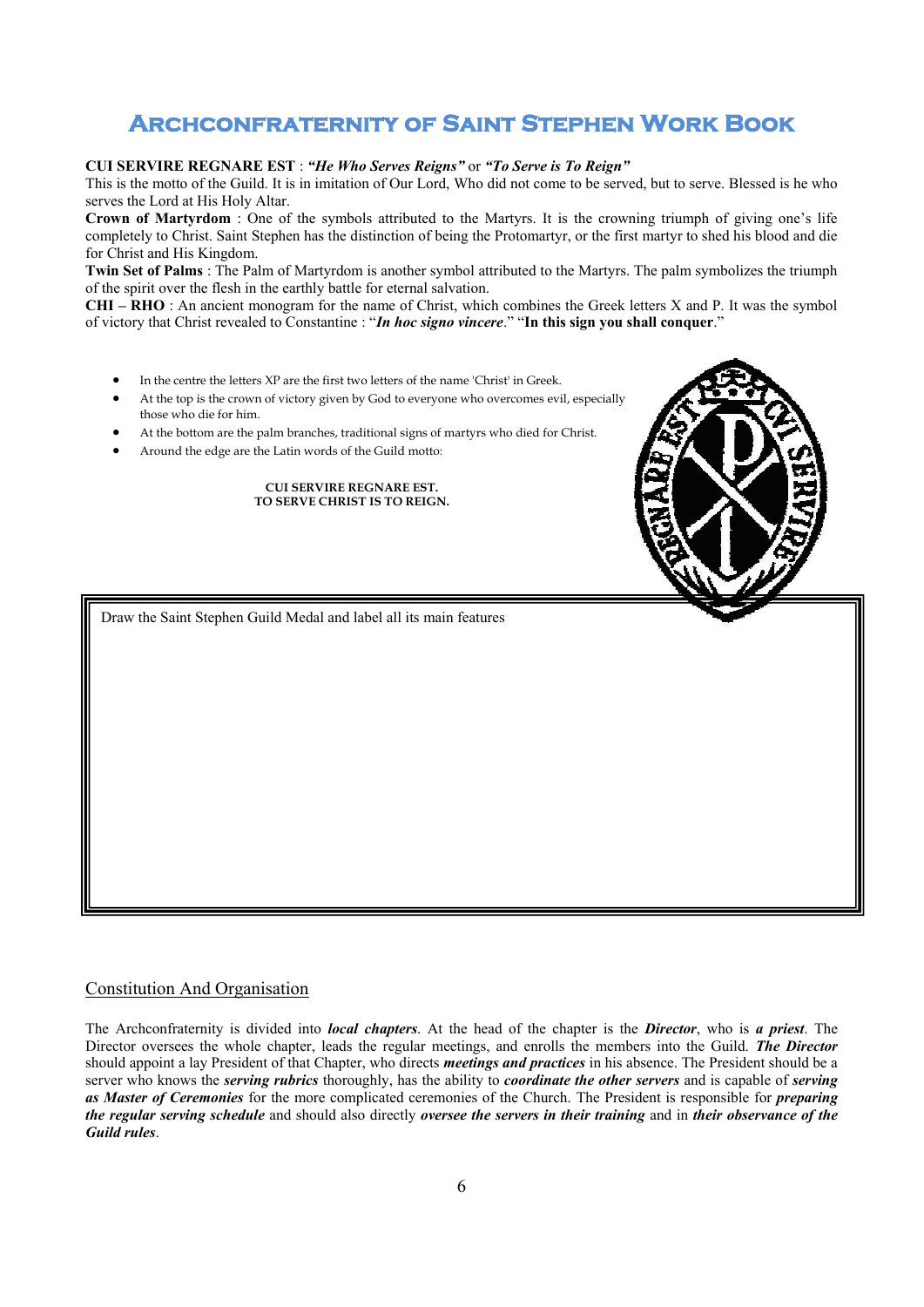#### **CUI SERVIRE REGNARE EST** : *"He Who Serves Reigns"* or *"To Serve is To Reign"*

This is the motto of the Guild. It is in imitation of Our Lord, Who did not come to be served, but to serve. Blessed is he who serves the Lord at His Holy Altar.

**Crown of Martyrdom** : One of the symbols attributed to the Martyrs. It is the crowning triumph of giving one's life completely to Christ. Saint Stephen has the distinction of being the Protomartyr, or the first martyr to shed his blood and die for Christ and His Kingdom.

**Twin Set of Palms** : The Palm of Martyrdom is another symbol attributed to the Martyrs. The palm symbolizes the triumph of the spirit over the flesh in the earthly battle for eternal salvation.

**CHI – RHO** : An ancient monogram for the name of Christ, which combines the Greek letters X and P. It was the symbol of victory that Christ revealed to Constantine : "*In hoc signo vincere*." "**In this sign you shall conquer**."

- In the centre the letters XP are the first two letters of the name 'Christ' in Greek.
- At the top is the crown of victory given by God to everyone who overcomes evil, especially those who die for him.
- At the bottom are the palm branches, traditional signs of martyrs who died for Christ.
- Around the edge are the Latin words of the Guild motto:

#### **CUI SERVIRE REGNARE EST. TO SERVE CHRIST IS TO REIGN.**

Draw the Saint Stephen Guild Medal and label all its main features

### Constitution And Organisation

The Archconfraternity is divided into *local chapters*. At the head of the chapter is the *Director*, who is *a priest*. The Director oversees the whole chapter, leads the regular meetings, and enrolls the members into the Guild. *The Director* should appoint a lay President of that Chapter, who directs *meetings and practices* in his absence. The President should be a server who knows the *serving rubrics* thoroughly, has the ability to *coordinate the other servers* and is capable of *serving as Master of Ceremonies* for the more complicated ceremonies of the Church. The President is responsible for *preparing the regular serving schedule* and should also directly *oversee the servers in their training* and in *their observance of the Guild rules*.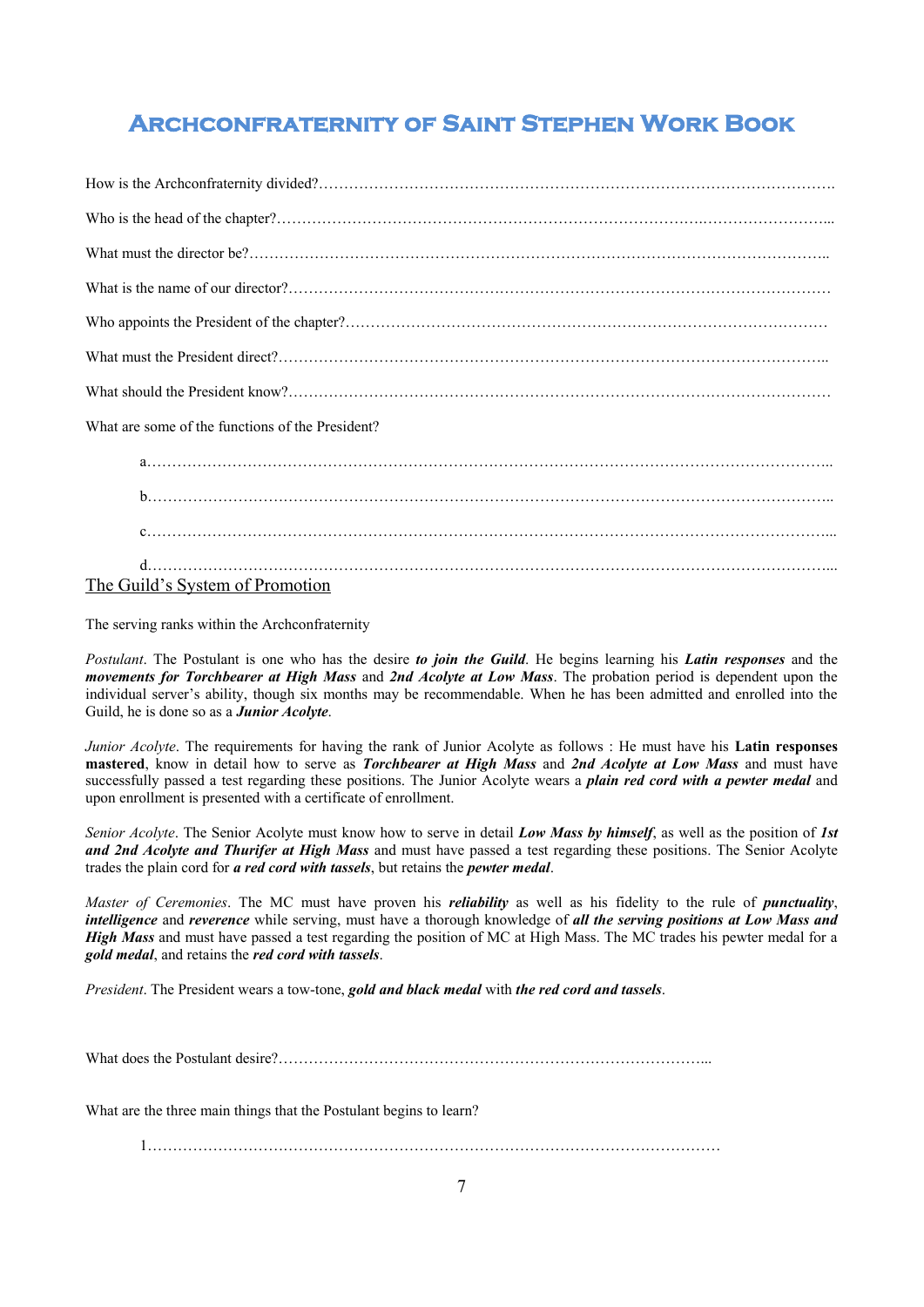What are some of the functions of the President?

| The Guild's System of Promotion |
|---------------------------------|

The serving ranks within the Archconfraternity

*Postulant*. The Postulant is one who has the desire *to join the Guild*. He begins learning his *Latin responses* and the *movements for Torchbearer at High Mass* and *2nd Acolyte at Low Mass*. The probation period is dependent upon the individual server's ability, though six months may be recommendable. When he has been admitted and enrolled into the Guild, he is done so as a *Junior Acolyte*.

*Junior Acolyte*. The requirements for having the rank of Junior Acolyte as follows : He must have his **Latin responses mastered**, know in detail how to serve as *Torchbearer at High Mass* and *2nd Acolyte at Low Mass* and must have successfully passed a test regarding these positions. The Junior Acolyte wears a *plain red cord with a pewter medal* and upon enrollment is presented with a certificate of enrollment.

*Senior Acolyte*. The Senior Acolyte must know how to serve in detail *Low Mass by himself*, as well as the position of *1st and 2nd Acolyte and Thurifer at High Mass* and must have passed a test regarding these positions. The Senior Acolyte trades the plain cord for *a red cord with tassels*, but retains the *pewter medal*.

*Master of Ceremonies*. The MC must have proven his *reliability* as well as his fidelity to the rule of *punctuality*, *intelligence* and *reverence* while serving, must have a thorough knowledge of *all the serving positions at Low Mass and High Mass* and must have passed a test regarding the position of MC at High Mass. The MC trades his pewter medal for a *gold medal*, and retains the *red cord with tassels*.

*President*. The President wears a tow-tone, *gold and black medal* with *the red cord and tassels*.

What does the Postulant desire?…………………………………………………………………………...

What are the three main things that the Postulant begins to learn?

1……………………………………………………………………………………………………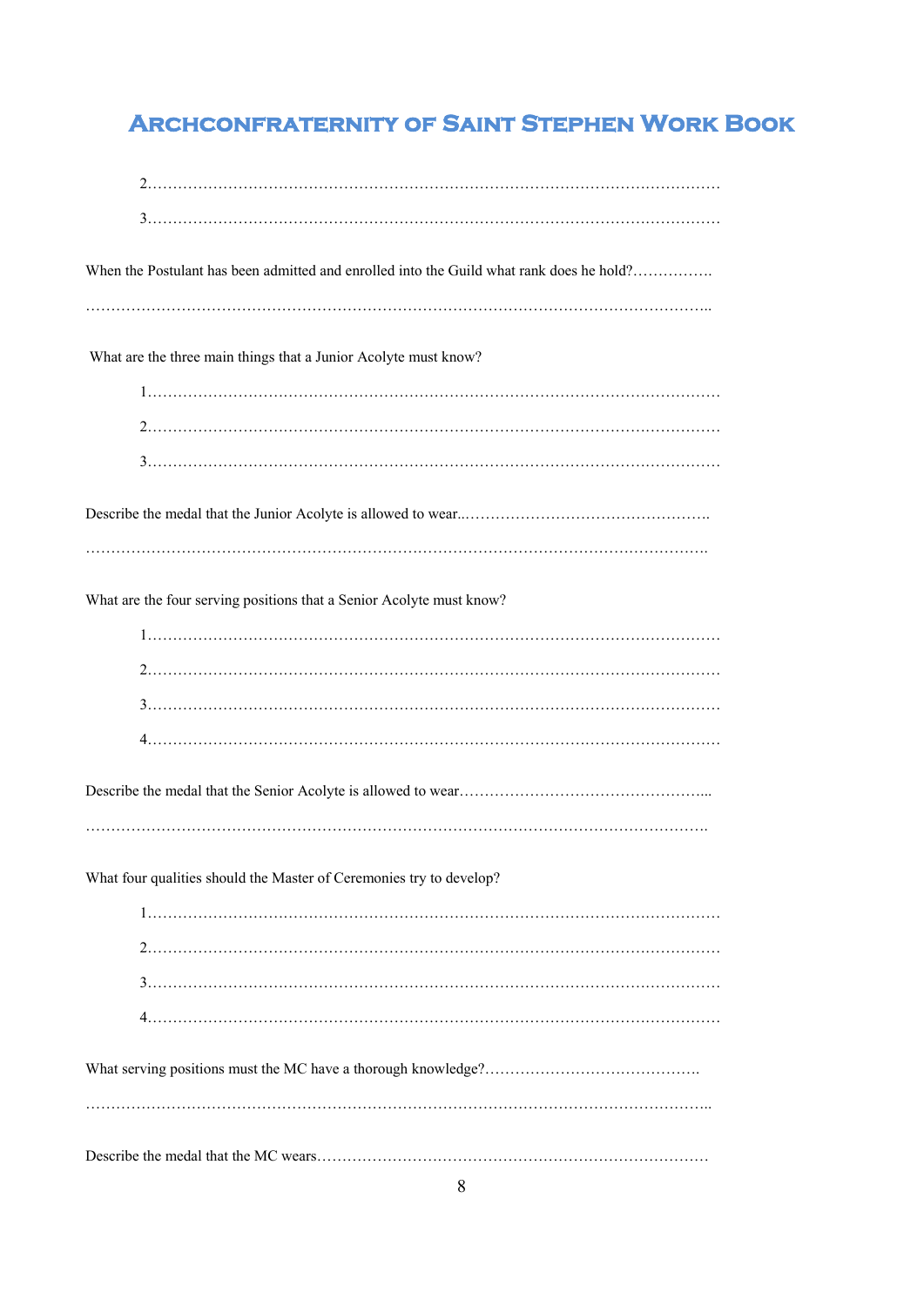| When the Postulant has been admitted and enrolled into the Guild what rank does he hold? |
|------------------------------------------------------------------------------------------|
| What are the three main things that a Junior Acolyte must know?                          |
|                                                                                          |
|                                                                                          |
|                                                                                          |
|                                                                                          |
| What are the four serving positions that a Senior Acolyte must know?                     |
|                                                                                          |
|                                                                                          |
|                                                                                          |
|                                                                                          |
|                                                                                          |
|                                                                                          |
| What four qualities should the Master of Ceremonies try to develop?                      |
|                                                                                          |
|                                                                                          |
|                                                                                          |
|                                                                                          |
|                                                                                          |
|                                                                                          |
|                                                                                          |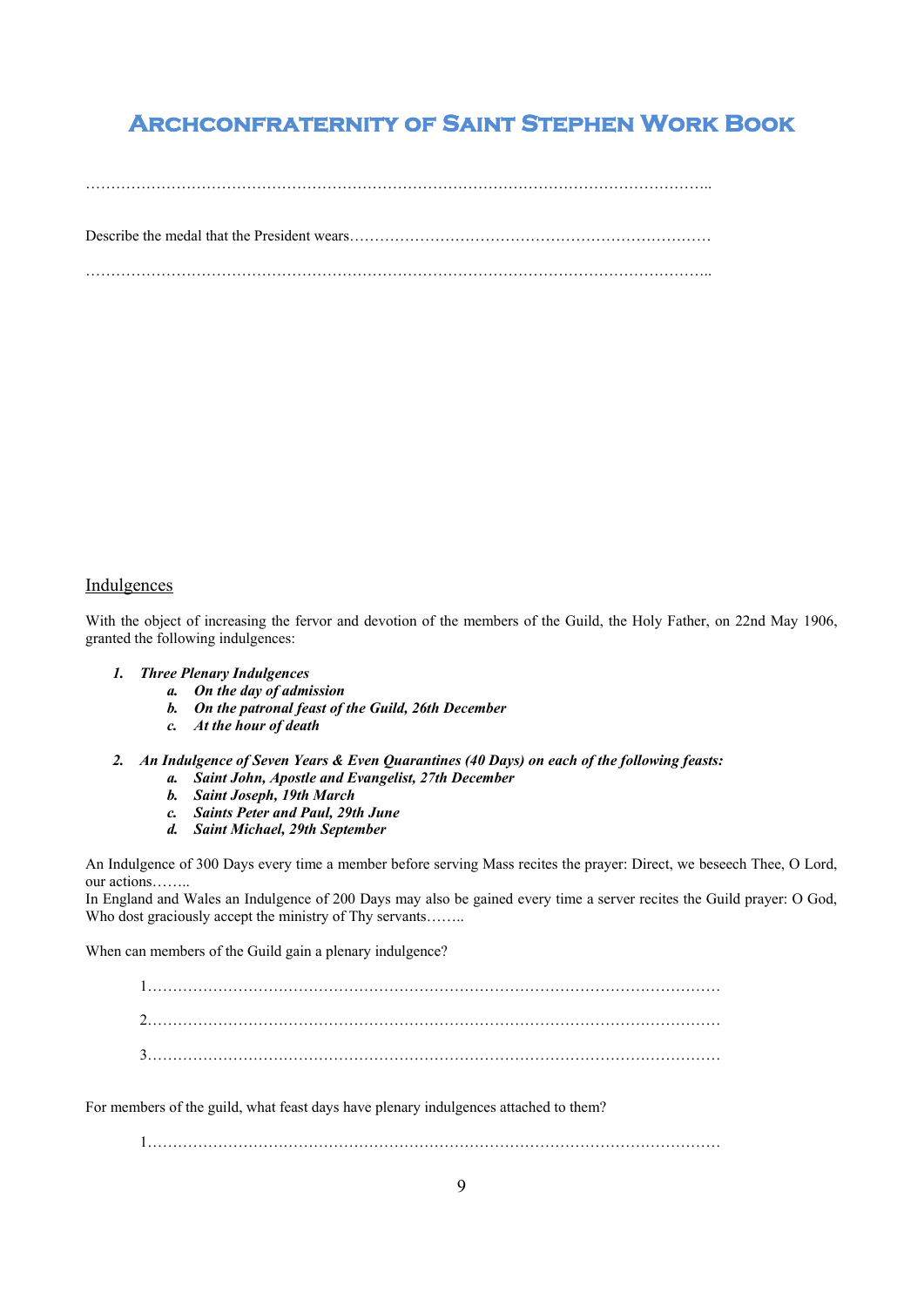$\mathcal{L}_{\mathcal{M}}$  , and the contract of the contract of the contract of the contract of the contract of the contract of the contract of the contract of the contract of the contract of the contract of the contract of the cont

Describe the medal that the President wears………………………………………………………………

……………………………………………………………………………………………………………..

### **Indulgences**

With the object of increasing the fervor and devotion of the members of the Guild, the Holy Father, on 22nd May 1906, granted the following indulgences:

#### *1. Three Plenary Indulgences*

- *a. On the day of admission*
- *b. On the patronal feast of the Guild, 26th December*
- *c. At the hour of death*
- *2. An Indulgence of Seven Years & Even Quarantines (40 Days) on each of the following feasts: a. Saint John, Apostle and Evangelist, 27th December*
	- *b. Saint Joseph, 19th March*
	- *c. Saints Peter and Paul, 29th June*
	- *d. Saint Michael, 29th September*

An Indulgence of 300 Days every time a member before serving Mass recites the prayer: Direct, we beseech Thee, O Lord, our actions……..

In England and Wales an Indulgence of 200 Days may also be gained every time a server recites the Guild prayer: O God, Who dost graciously accept the ministry of Thy servants........

When can members of the Guild gain a plenary indulgence?

1…………………………………………………………………………………………………… 2…………………………………………………………………………………………………… 3……………………………………………………………………………………………………

For members of the guild, what feast days have plenary indulgences attached to them?

1……………………………………………………………………………………………………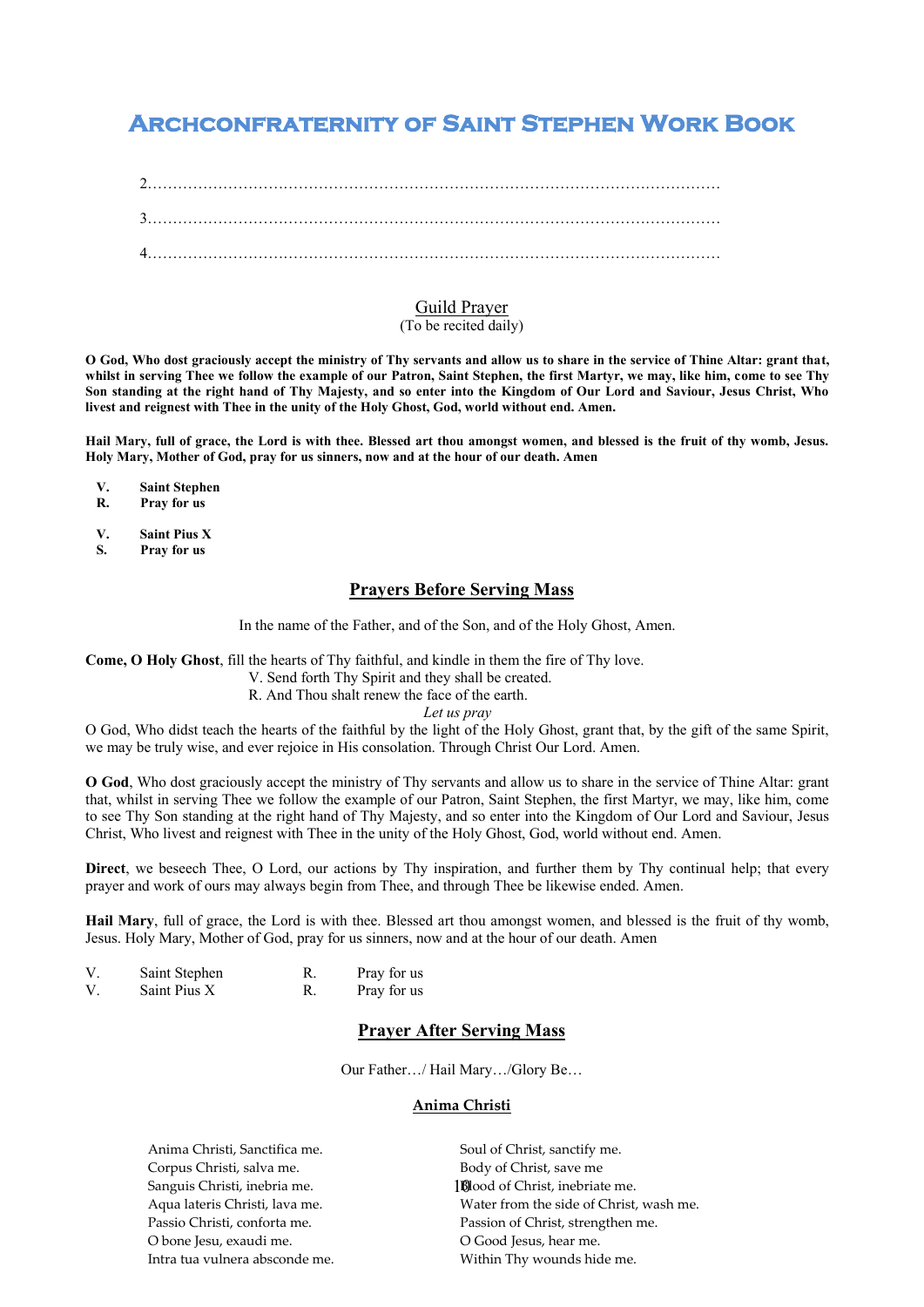2…………………………………………………………………………………………………… 3…………………………………………………………………………………………………… 4……………………………………………………………………………………………………

### Guild Prayer (To be recited daily)

**O God, Who dost graciously accept the ministry of Thy servants and allow us to share in the service of Thine Altar: grant that, whilst in serving Thee we follow the example of our Patron, Saint Stephen, the first Martyr, we may, like him, come to see Thy Son standing at the right hand of Thy Majesty, and so enter into the Kingdom of Our Lord and Saviour, Jesus Christ, Who livest and reignest with Thee in the unity of the Holy Ghost, God, world without end. Amen.**

**Hail Mary, full of grace, the Lord is with thee. Blessed art thou amongst women, and blessed is the fruit of thy womb, Jesus. Holy Mary, Mother of God, pray for us sinners, now and at the hour of our death. Amen**

**V. Saint Stephen**

**R. Pray for us**

**V. Saint Pius X**

**S. Pray for us**

### **Prayers Before Serving Mass**

In the name of the Father, and of the Son, and of the Holy Ghost, Amen.

**Come, O Holy Ghost**, fill the hearts of Thy faithful, and kindle in them the fire of Thy love.

V. Send forth Thy Spirit and they shall be created.

R. And Thou shalt renew the face of the earth.

*Let us pray*

O God, Who didst teach the hearts of the faithful by the light of the Holy Ghost, grant that, by the gift of the same Spirit, we may be truly wise, and ever rejoice in His consolation. Through Christ Our Lord. Amen.

**O God**, Who dost graciously accept the ministry of Thy servants and allow us to share in the service of Thine Altar: grant that, whilst in serving Thee we follow the example of our Patron, Saint Stephen, the first Martyr, we may, like him, come to see Thy Son standing at the right hand of Thy Majesty, and so enter into the Kingdom of Our Lord and Saviour, Jesus Christ, Who livest and reignest with Thee in the unity of the Holy Ghost, God, world without end. Amen.

**Direct**, we beseech Thee, O Lord, our actions by Thy inspiration, and further them by Thy continual help; that every prayer and work of ours may always begin from Thee, and through Thee be likewise ended. Amen.

**Hail Mary**, full of grace, the Lord is with thee. Blessed art thou amongst women, and blessed is the fruit of thy womb, Jesus. Holy Mary, Mother of God, pray for us sinners, now and at the hour of our death. Amen

| V | Saint Stephen | Pray for us |
|---|---------------|-------------|
| V | Saint Pius X  | Pray for us |

### **Prayer After Serving Mass**

Our Father…/ Hail Mary…/Glory Be…

#### **Anima Christi**

Anima Christi, Sanctifica me. Corpus Christi, salva me. Sanguis Christi, inebria me. Aqua lateris Christi, lava me. Passio Christi, conforta me. O bone Jesu, exaudi me. Intra tua vulnera absconde me. 10 Blood of Christ, inebriate me. Soul of Christ, sanctify me. Body of Christ, save me Water from the side of Christ, wash me. Passion of Christ, strengthen me. O Good Jesus, hear me. Within Thy wounds hide me.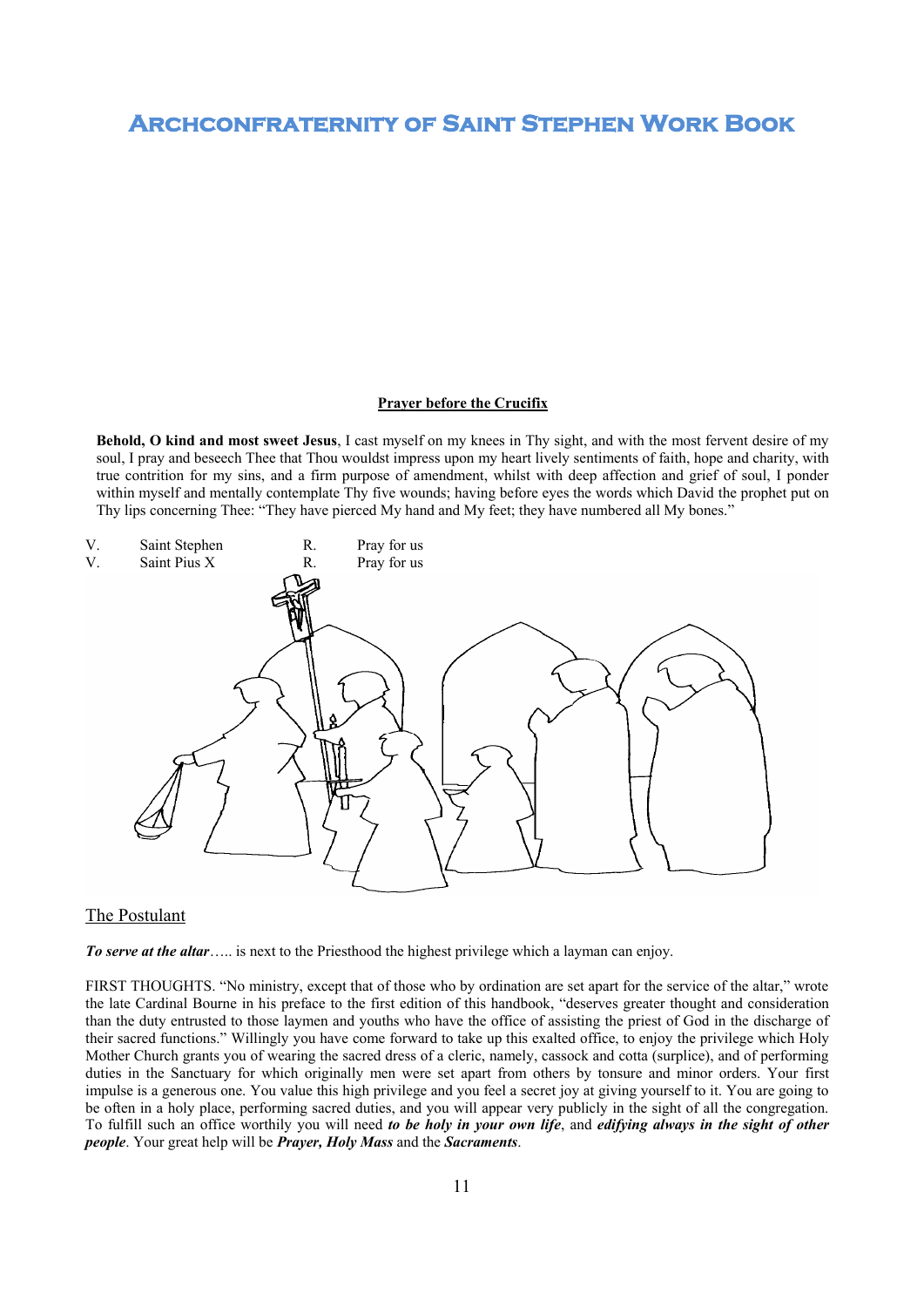#### **Prayer before the Crucifix**

**Behold, O kind and most sweet Jesus**, I cast myself on my knees in Thy sight, and with the most fervent desire of my soul, I pray and beseech Thee that Thou wouldst impress upon my heart lively sentiments of faith, hope and charity, with true contrition for my sins, and a firm purpose of amendment, whilst with deep affection and grief of soul, I ponder within myself and mentally contemplate Thy five wounds; having before eyes the words which David the prophet put on Thy lips concerning Thee: "They have pierced My hand and My feet; they have numbered all My bones."



#### The Postulant

**To serve at the altar**….. is next to the Priesthood the highest privilege which a layman can enjoy.

FIRST THOUGHTS. "No ministry, except that of those who by ordination are set apart for the service of the altar," wrote the late Cardinal Bourne in his preface to the first edition of this handbook, "deserves greater thought and consideration than the duty entrusted to those laymen and youths who have the office of assisting the priest of God in the discharge of their sacred functions." Willingly you have come forward to take up this exalted office, to enjoy the privilege which Holy Mother Church grants you of wearing the sacred dress of a cleric, namely, cassock and cotta (surplice), and of performing duties in the Sanctuary for which originally men were set apart from others by tonsure and minor orders. Your first impulse is a generous one. You value this high privilege and you feel a secret joy at giving yourself to it. You are going to be often in a holy place, performing sacred duties, and you will appear very publicly in the sight of all the congregation. To fulfill such an office worthily you will need *to be holy in your own life*, and *edifying always in the sight of other people*. Your great help will be *Prayer, Holy Mass* and the *Sacraments*.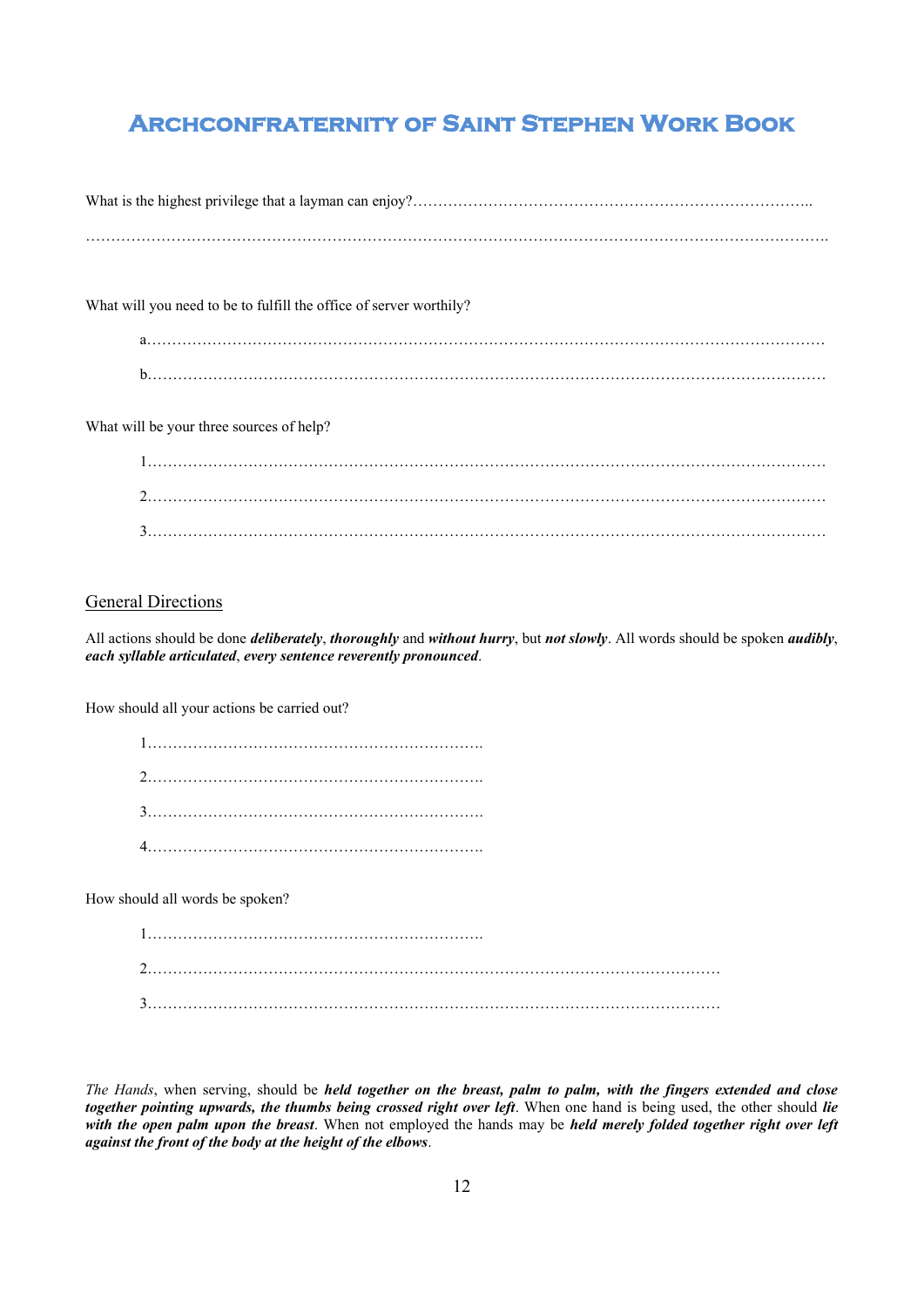What is the highest privilege that a layman can enjoy?………………………………………………………………………

………………………………………………………………………………………………………………………………….

What will you need to be to fulfill the office of server worthily?

| n |  |  |
|---|--|--|

What will be your three sources of help?

### **General Directions**

All actions should be done *deliberately*, *thoroughly* and *without hurry*, but *not slowly*. All words should be spoken *audibly*, *each syllable articulated*, *every sentence reverently pronounced*.

How should all your actions be carried out?

How should all words be spoken?

*The Hands*, when serving, should be *held together on the breast, palm to palm, with the fingers extended and close together pointing upwards, the thumbs being crossed right over left*. When one hand is being used, the other should *lie with the open palm upon the breast*. When not employed the hands may be *held merely folded together right over left against the front of the body at the height of the elbows*.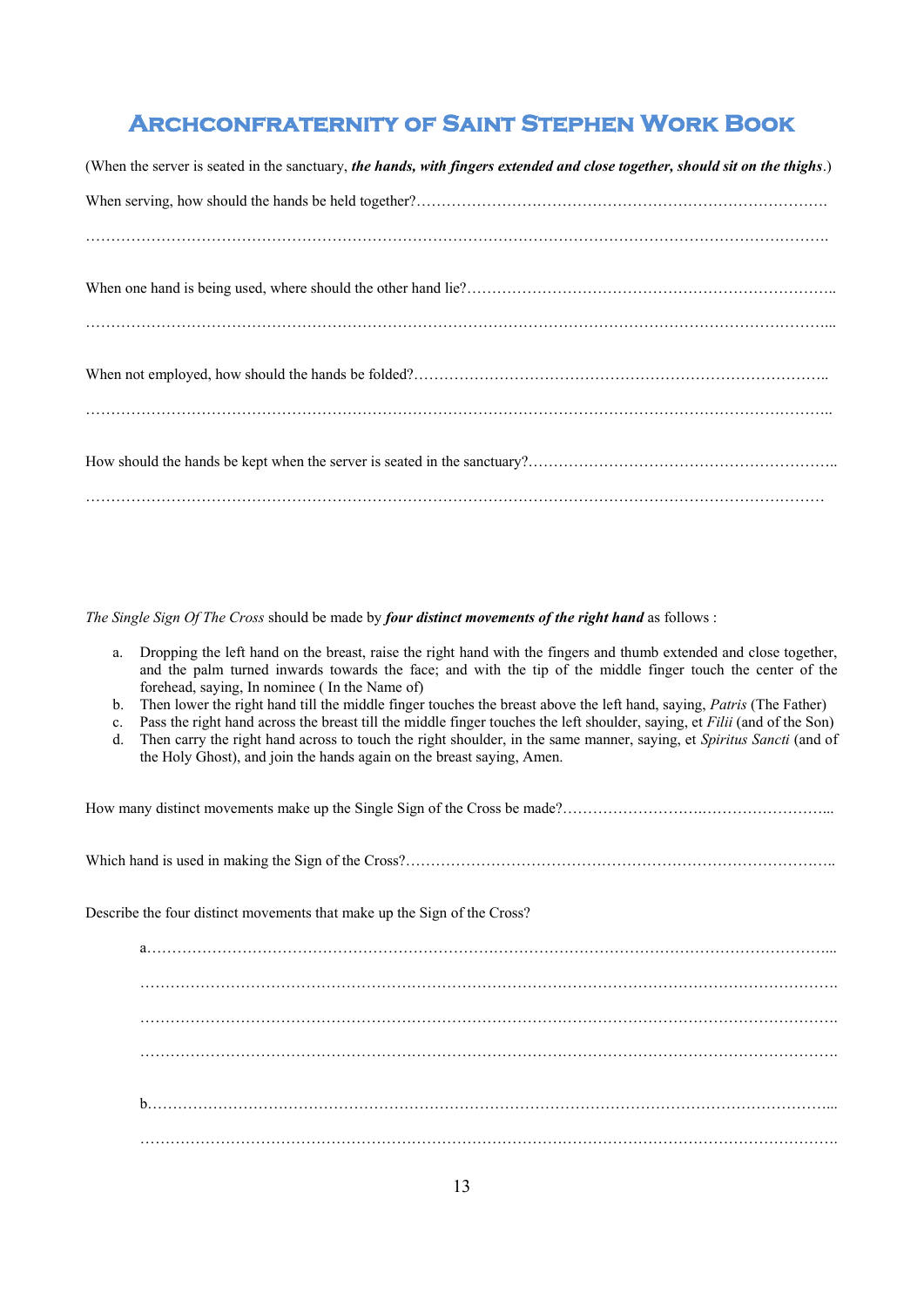| (When the server is seated in the sanctuary, the hands, with fingers extended and close together, should sit on the thighs.) |
|------------------------------------------------------------------------------------------------------------------------------|
|                                                                                                                              |
|                                                                                                                              |
|                                                                                                                              |
|                                                                                                                              |
|                                                                                                                              |
|                                                                                                                              |
|                                                                                                                              |
|                                                                                                                              |

*The Single Sign Of The Cross* should be made by *four distinct movements of the right hand* as follows :

| a. Dropping the left hand on the breast, raise the right hand with the fingers and thumb extended and close together, |
|-----------------------------------------------------------------------------------------------------------------------|
| and the palm turned inwards towards the face; and with the tip of the middle finger touch the center of the           |
| forehead, saying, In nominee (In the Name of)                                                                         |

- b. Then lower the right hand till the middle finger touches the breast above the left hand, saying, *Patris* (The Father)
- Pass the right hand across the breast till the middle finger touches the left shoulder, saying, et *Filii* (and of the Son)
- d. Then carry the right hand across to touch the right shoulder, in the same manner, saying, et *Spiritus Sancti* (and of the Holy Ghost), and join the hands again on the breast saying, Amen.

How many distinct movements make up the Single Sign of the Cross be made?……………………….……………………... Which hand is used in making the Sign of the Cross?……………………………………………………………………………… Describe the four distinct movements that make up the Sign of the Cross? a………………………………………………………………………………………………………………………... …………………………………………………………………………………………………………………………. …………………………………………………………………………………………………………………………. …………………………………………………………………………………………………………………………. b………………………………………………………………………………………………………………………... ………………………………………………………………………………………………………………………….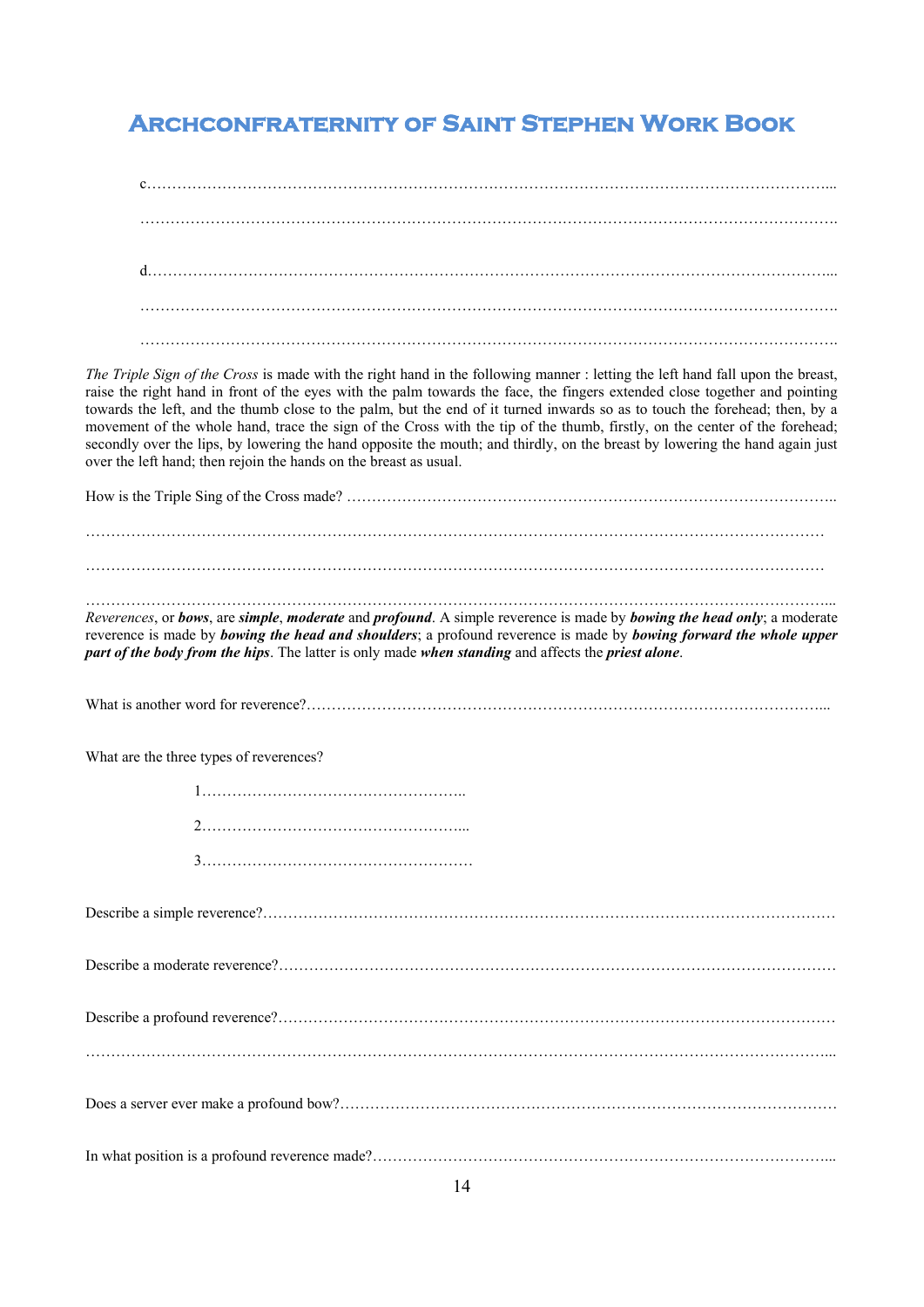$\mathfrak{c}$ . The contract of the contract of the contract of the contract of the contract of the contract of the contract of the contract of the contract of the contract of the contract of the contract of the contract of the contrac d………………………………………………………………………………………………………………………... …………………………………………………………………………………………………………………………. ………………………………………………………………………………………………………………………….

*The Triple Sign of the Cross* is made with the right hand in the following manner : letting the left hand fall upon the breast, raise the right hand in front of the eyes with the palm towards the face, the fingers extended close together and pointing towards the left, and the thumb close to the palm, but the end of it turned inwards so as to touch the forehead; then, by a movement of the whole hand, trace the sign of the Cross with the tip of the thumb, firstly, on the center of the forehead; secondly over the lips, by lowering the hand opposite the mouth; and thirdly, on the breast by lowering the hand again just over the left hand; then rejoin the hands on the breast as usual.

How is the Triple Sing of the Cross made? …………………………………………………………………………………….. …………………………………………………………………………………………………………………………………

…………………………………………………………………………………………………………………………………

…………………………………………………………………………………………………………………………………...

*Reverences*, or *bows*, are *simple*, *moderate* and *profound*. A simple reverence is made by *bowing the head only*; a moderate reverence is made by *bowing the head and shoulders*; a profound reverence is made by *bowing forward the whole upper part of the body from the hips*. The latter is only made *when standing* and affects the *priest alone*.

What is another word for reverence?…………………………………………………………………………………………...

What are the three types of reverences?

1…………………………………………….. 2……………………………………………... 3………………………………………………

Describe a simple reverence?…………………………………………………………………………………………………… Describe a moderate reverence?………………………………………………………………………………………………… Describe a profound reverence?………………………………………………………………………………………………… …………………………………………………………………………………………………………………………………... Does a server ever make a profound bow?……………………………………………………………………………………… In what position is a profound reverence made?…………………………………………………………………………………………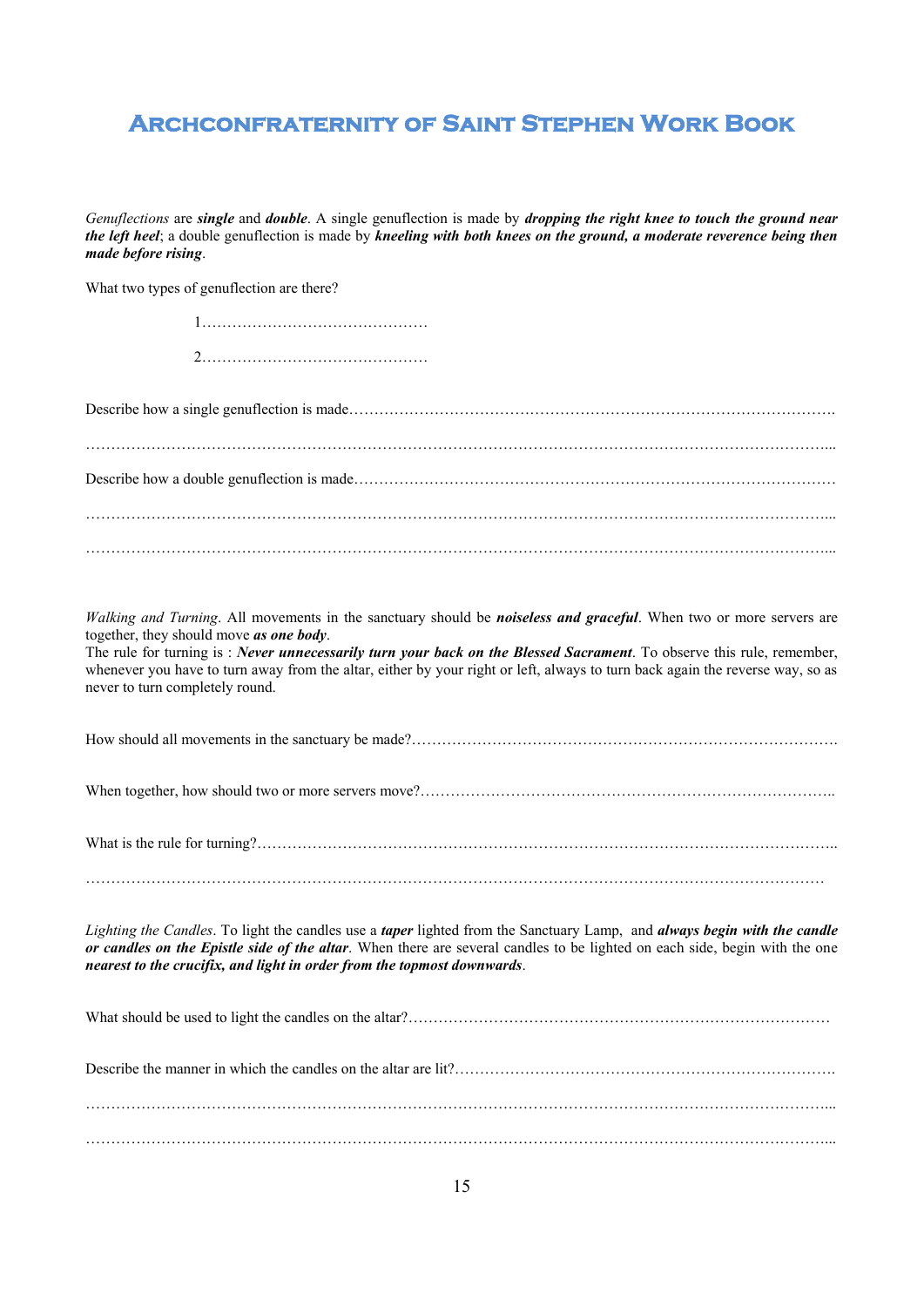*Genuflections* are *single* and *double*. A single genuflection is made by *dropping the right knee to touch the ground near the left heel*; a double genuflection is made by *kneeling with both knees on the ground, a moderate reverence being then made before rising*.

What two types of genuflection are there?

| Walking and Turning. All movements in the sanctuary should be noiseless and graceful. When two or more servers are<br>together, they should move as one body.<br>The rule for turning is : Never unnecessarily turn your back on the Blessed Sacrament. To observe this rule, remember,<br>whenever you have to turn away from the altar, either by your right or left, always to turn back again the reverse way, so as<br>never to turn completely round. |
|-------------------------------------------------------------------------------------------------------------------------------------------------------------------------------------------------------------------------------------------------------------------------------------------------------------------------------------------------------------------------------------------------------------------------------------------------------------|
|                                                                                                                                                                                                                                                                                                                                                                                                                                                             |
|                                                                                                                                                                                                                                                                                                                                                                                                                                                             |
|                                                                                                                                                                                                                                                                                                                                                                                                                                                             |
| Lighting the Candles. To light the candles use a taper lighted from the Sanctuary Lamp, and always begin with the candle<br>or candles on the Epistle side of the altar. When there are several candles to be lighted on each side, begin with the one<br>nearest to the crucifix, and light in order from the topmost downwards.                                                                                                                           |
|                                                                                                                                                                                                                                                                                                                                                                                                                                                             |
|                                                                                                                                                                                                                                                                                                                                                                                                                                                             |
|                                                                                                                                                                                                                                                                                                                                                                                                                                                             |

…………………………………………………………………………………………………………………………………...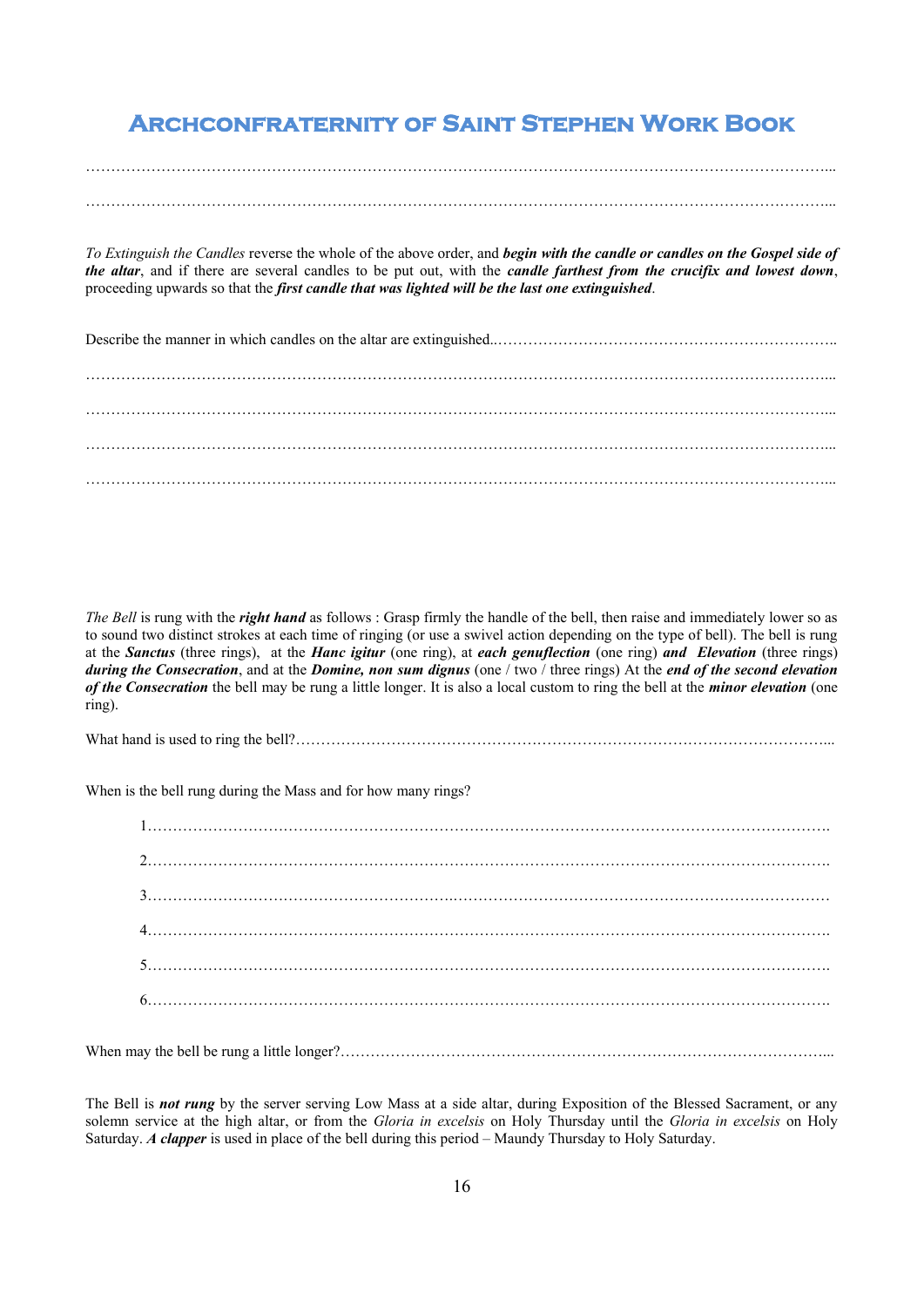# …………………………………………………………………………………………………………………………………...

*To Extinguish the Candles* reverse the whole of the above order, and *begin with the candle or candles on the Gospel side of the altar*, and if there are several candles to be put out, with the *candle farthest from the crucifix and lowest down*, proceeding upwards so that the *first candle that was lighted will be the last one extinguished*.

*The Bell* is rung with the *right hand* as follows : Grasp firmly the handle of the bell, then raise and immediately lower so as to sound two distinct strokes at each time of ringing (or use a swivel action depending on the type of bell). The bell is rung at the *Sanctus* (three rings), at the *Hanc igitur* (one ring), at *each genuflection* (one ring) *and Elevation* (three rings) *during the Consecration*, and at the *Domine, non sum dignus* (one / two / three rings) At the *end of the second elevation of the Consecration* the bell may be rung a little longer. It is also a local custom to ring the bell at the *minor elevation* (one ring).

What hand is used to ring the bell?……………………………………………………………………………………………...

When is the bell rung during the Mass and for how many rings?

When may the bell be rung a little longer?……………………………………………………………………………………...

The Bell is *not rung* by the server serving Low Mass at a side altar, during Exposition of the Blessed Sacrament, or any solemn service at the high altar, or from the *Gloria in excelsis* on Holy Thursday until the *Gloria in excelsis* on Holy Saturday. *A clapper* is used in place of the bell during this period – Maundy Thursday to Holy Saturday.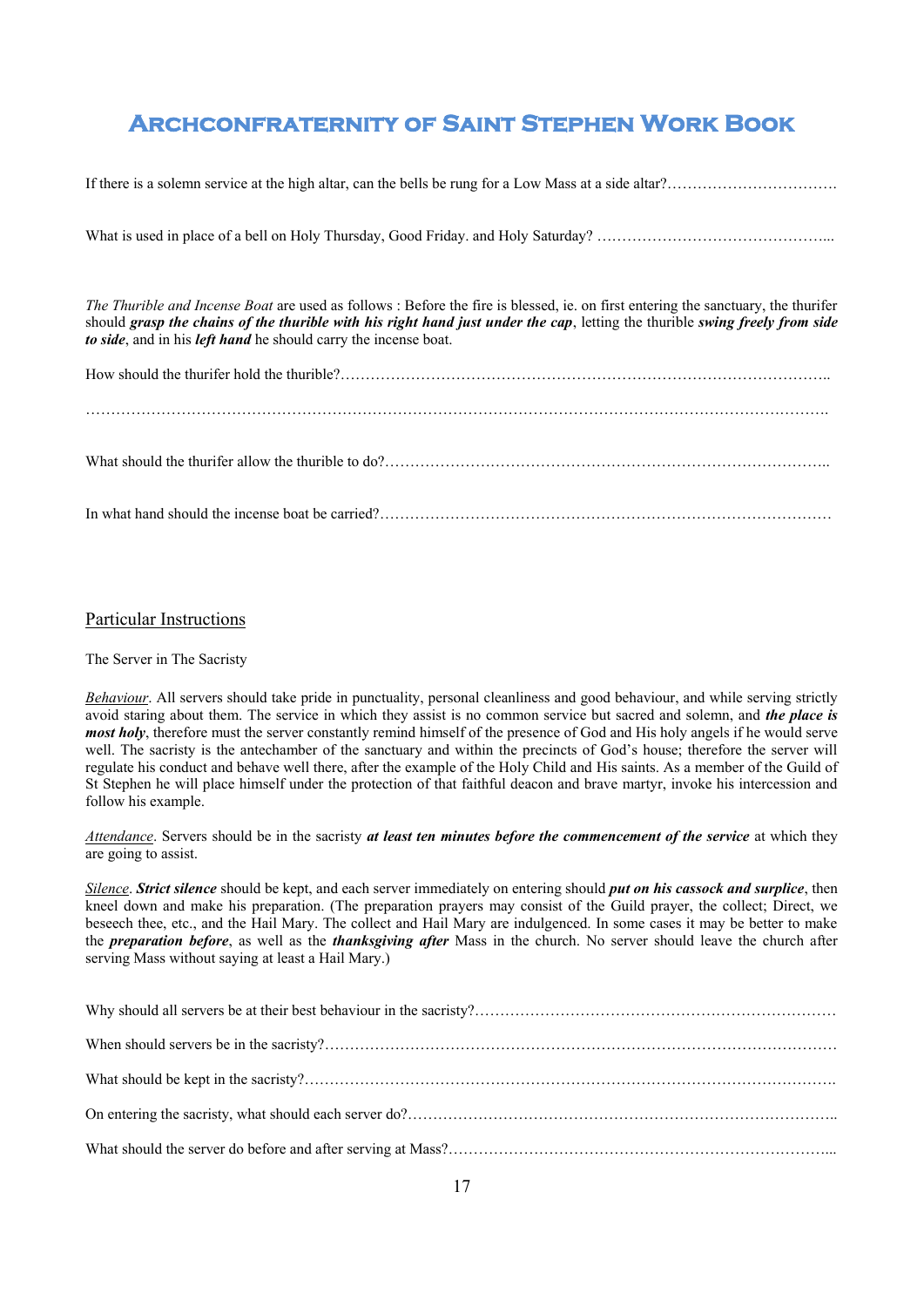If there is a solemn service at the high altar, can the bells be rung for a Low Mass at a side altar?……………………………………

What is used in place of a bell on Holy Thursday, Good Friday. and Holy Saturday? ………………………………………...

*The Thurible and Incense Boat* are used as follows : Before the fire is blessed, ie. on first entering the sanctuary, the thurifer should *grasp the chains of the thurible with his right hand just under the cap*, letting the thurible *swing freely from side to side*, and in his *left hand* he should carry the incense boat.

#### Particular Instructions

#### The Server in The Sacristy

*Behaviour*. All servers should take pride in punctuality, personal cleanliness and good behaviour, and while serving strictly avoid staring about them. The service in which they assist is no common service but sacred and solemn, and *the place is most holy*, therefore must the server constantly remind himself of the presence of God and His holy angels if he would serve well. The sacristy is the antechamber of the sanctuary and within the precincts of God's house; therefore the server will regulate his conduct and behave well there, after the example of the Holy Child and His saints. As a member of the Guild of St Stephen he will place himself under the protection of that faithful deacon and brave martyr, invoke his intercession and follow his example.

*Attendance*. Servers should be in the sacristy *at least ten minutes before the commencement of the service* at which they are going to assist.

*Silence*. *Strict silence* should be kept, and each server immediately on entering should *put on his cassock and surplice*, then kneel down and make his preparation. (The preparation prayers may consist of the Guild prayer, the collect; Direct, we beseech thee, etc., and the Hail Mary. The collect and Hail Mary are indulgenced. In some cases it may be better to make the *preparation before*, as well as the *thanksgiving after* Mass in the church. No server should leave the church after serving Mass without saying at least a Hail Mary.)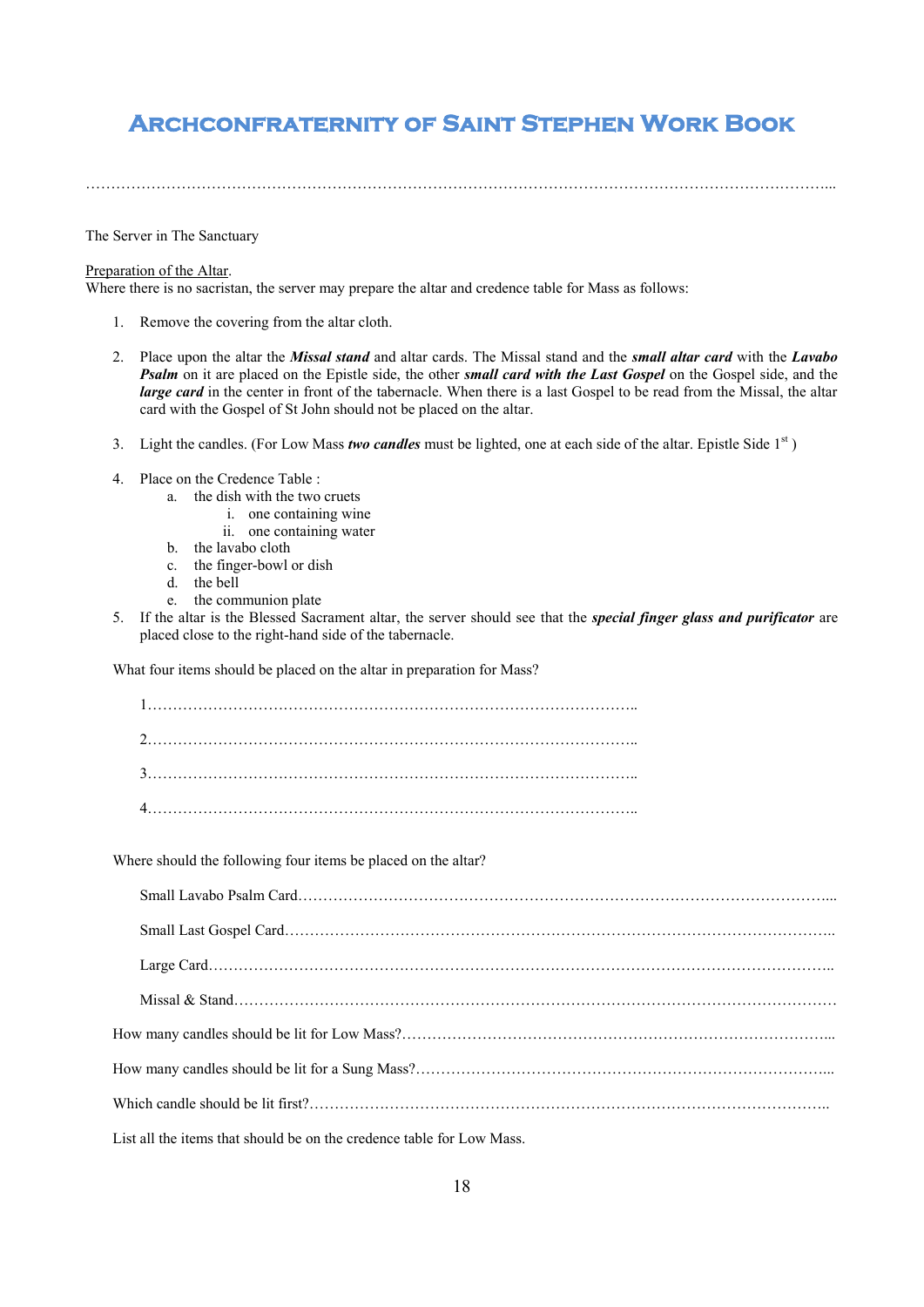The Server in The Sanctuary

#### Preparation of the Altar.

Where there is no sacristan, the server may prepare the altar and credence table for Mass as follows:

- 1. Remove the covering from the altar cloth.
- 2. Place upon the altar the *Missal stand* and altar cards. The Missal stand and the *small altar card* with the *Lavabo Psalm* on it are placed on the Epistle side, the other *small card with the Last Gospel* on the Gospel side, and the *large card* in the center in front of the tabernacle. When there is a last Gospel to be read from the Missal, the altar card with the Gospel of St John should not be placed on the altar.
- 3. Light the candles. (For Low Mass *two candles* must be lighted, one at each side of the altar. Epistle Side  $1<sup>st</sup>$ )
- 4. Place on the Credence Table :
	- a. the dish with the two cruets
		- i. one containing wine
		- ii. one containing water
	- b. the lavabo cloth
	- c. the finger-bowl or dish
	- d. the bell
	- e. the communion plate
- 5. If the altar is the Blessed Sacrament altar, the server should see that the *special finger glass and purificator* are placed close to the right-hand side of the tabernacle.

What four items should be placed on the altar in preparation for Mass?

Where should the following four items be placed on the altar?

| List all the items that should be on the credence table for Low Mass. |  |  |
|-----------------------------------------------------------------------|--|--|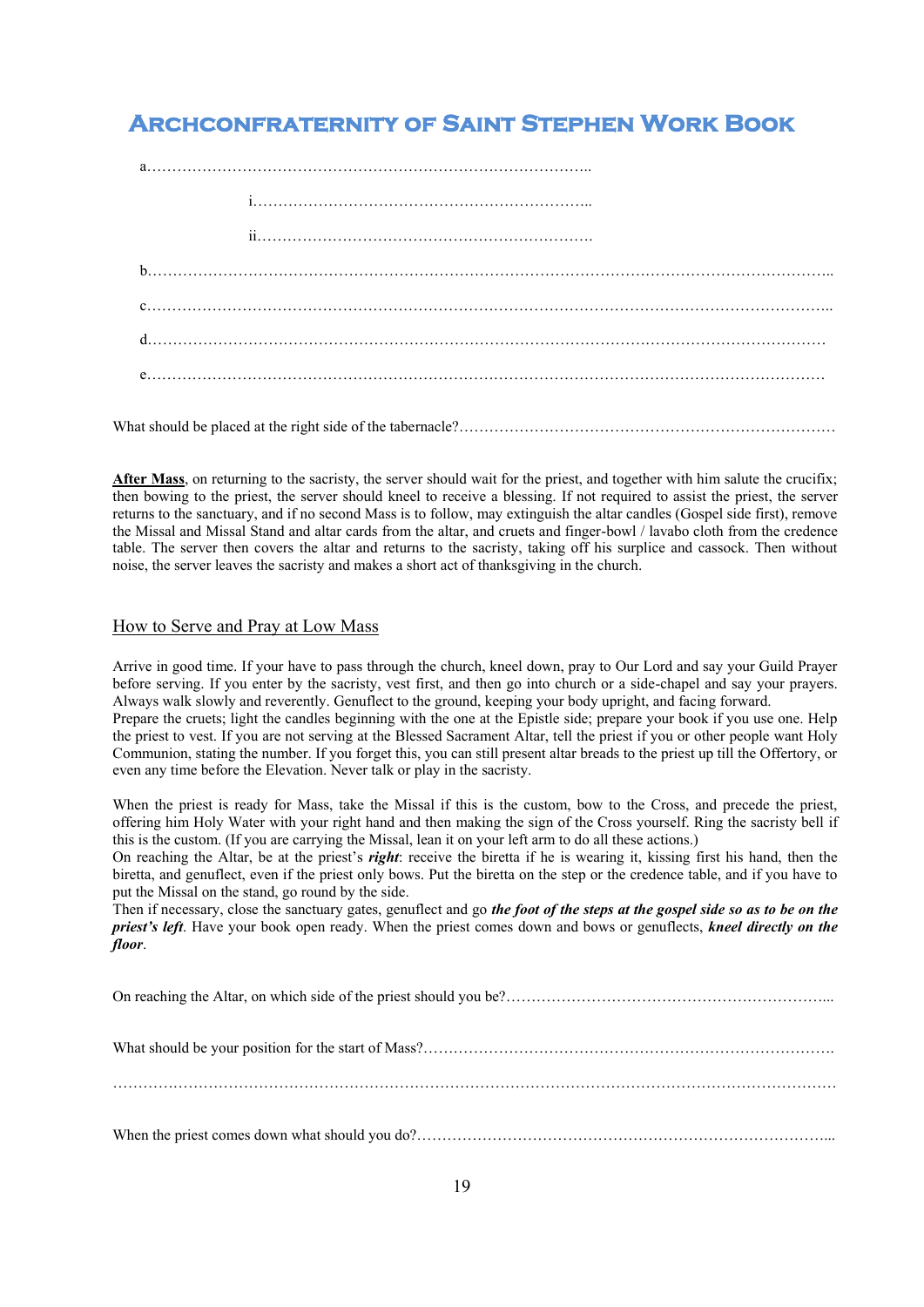What should be placed at the right side of the tabernacle?……………………………………………………………

**After Mass**, on returning to the sacristy, the server should wait for the priest, and together with him salute the crucifix; then bowing to the priest, the server should kneel to receive a blessing. If not required to assist the priest, the server returns to the sanctuary, and if no second Mass is to follow, may extinguish the altar candles (Gospel side first), remove the Missal and Missal Stand and altar cards from the altar, and cruets and finger-bowl / lavabo cloth from the credence table. The server then covers the altar and returns to the sacristy, taking off his surplice and cassock. Then without noise, the server leaves the sacristy and makes a short act of thanksgiving in the church.

#### How to Serve and Pray at Low Mass

Arrive in good time. If your have to pass through the church, kneel down, pray to Our Lord and say your Guild Prayer before serving. If you enter by the sacristy, vest first, and then go into church or a side-chapel and say your prayers. Always walk slowly and reverently. Genuflect to the ground, keeping your body upright, and facing forward. Prepare the cruets; light the candles beginning with the one at the Epistle side; prepare your book if you use one. Help the priest to vest. If you are not serving at the Blessed Sacrament Altar, tell the priest if you or other people want Holy Communion, stating the number. If you forget this, you can still present altar breads to the priest up till the Offertory, or even any time before the Elevation. Never talk or play in the sacristy.

When the priest is ready for Mass, take the Missal if this is the custom, bow to the Cross, and precede the priest, offering him Holy Water with your right hand and then making the sign of the Cross yourself. Ring the sacristy bell if this is the custom. (If you are carrying the Missal, lean it on your left arm to do all these actions.)

On reaching the Altar, be at the priest's *right*: receive the biretta if he is wearing it, kissing first his hand, then the biretta, and genuflect, even if the priest only bows. Put the biretta on the step or the credence table, and if you have to put the Missal on the stand, go round by the side.

Then if necessary, close the sanctuary gates, genuflect and go *the foot of the steps at the gospel side so as to be on the priest's left*. Have your book open ready. When the priest comes down and bows or genuflects, *kneel directly on the floor*.